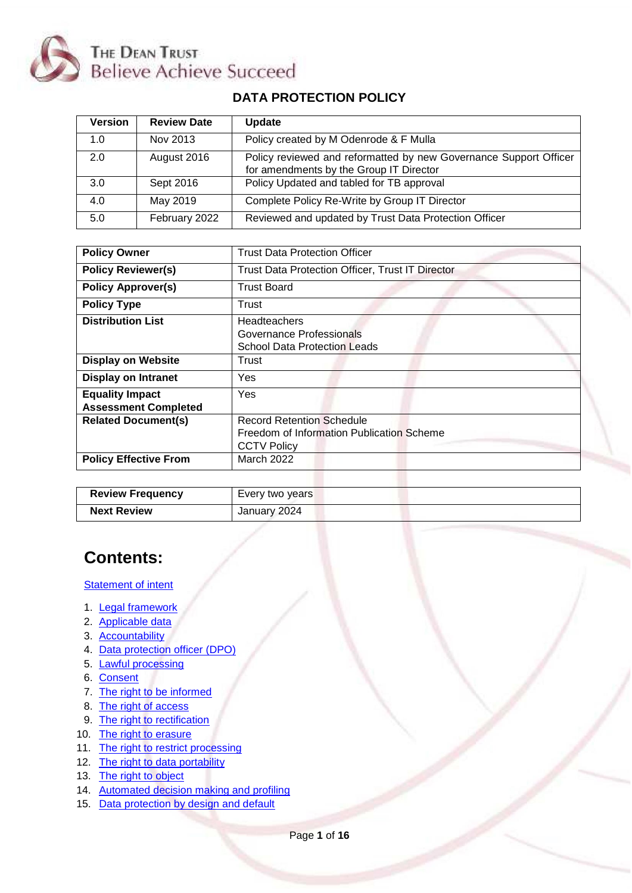

# **DATA PROTECTION POLICY**

| <b>Version</b> | <b>Review Date</b> | Update                                                                                                       |
|----------------|--------------------|--------------------------------------------------------------------------------------------------------------|
| 1.0            | Nov 2013           | Policy created by M Odenrode & F Mulla                                                                       |
| 2.0            | August 2016        | Policy reviewed and reformatted by new Governance Support Officer<br>for amendments by the Group IT Director |
| 3.0            | Sept 2016          | Policy Updated and tabled for TB approval                                                                    |
| 4.0            | May 2019           | Complete Policy Re-Write by Group IT Director                                                                |
| 5.0            | February 2022      | Reviewed and updated by Trust Data Protection Officer                                                        |

| <b>Policy Owner</b>                                   | Trust Data Protection Officer                                                                       |
|-------------------------------------------------------|-----------------------------------------------------------------------------------------------------|
| <b>Policy Reviewer(s)</b>                             | Trust Data Protection Officer, Trust IT Director                                                    |
| <b>Policy Approver(s)</b>                             | <b>Trust Board</b>                                                                                  |
| <b>Policy Type</b>                                    | Trust                                                                                               |
| <b>Distribution List</b>                              | <b>Headteachers</b><br>Governance Professionals<br><b>School Data Protection Leads</b>              |
| <b>Display on Website</b>                             | Trust                                                                                               |
| <b>Display on Intranet</b>                            | Yes                                                                                                 |
| <b>Equality Impact</b><br><b>Assessment Completed</b> | Yes                                                                                                 |
| <b>Related Document(s)</b>                            | <b>Record Retention Schedule</b><br>Freedom of Information Publication Scheme<br><b>CCTV Policy</b> |
| <b>Policy Effective From</b>                          | <b>March 2022</b>                                                                                   |

| <b>Review Frequency</b> | Every two years |
|-------------------------|-----------------|
| <b>Next Review</b>      | January 2024    |

# **Contents:**

#### **[Statement of intent](#page-1-0)**

- 1. Legal framework
- 2. [Applicable data](#page-1-1)
- 3. [Accountability](#page-2-0)
- 4. Data [protection officer \(DPO\)](#page-3-0)
- 5. [Lawful processing](#page-4-0)
- 6. [Consent](#page-5-0)
- 7. [The right to be informed](#page-6-0)
- 8. [The right of access](#page-6-1)
- 9. [The right to rectification](#page-7-0)
- 10. [The right to erasure](#page-8-0)
- 11. [The right to restrict processing](#page-8-1)
- 12. [The right to data portability](#page-9-0)
- 13. [The right to object](#page-10-0)
- 14. [Automated decision making and profiling](#page-10-1)
- 15. [Data protection by design and default](#page-11-0)

Page **1** of **16**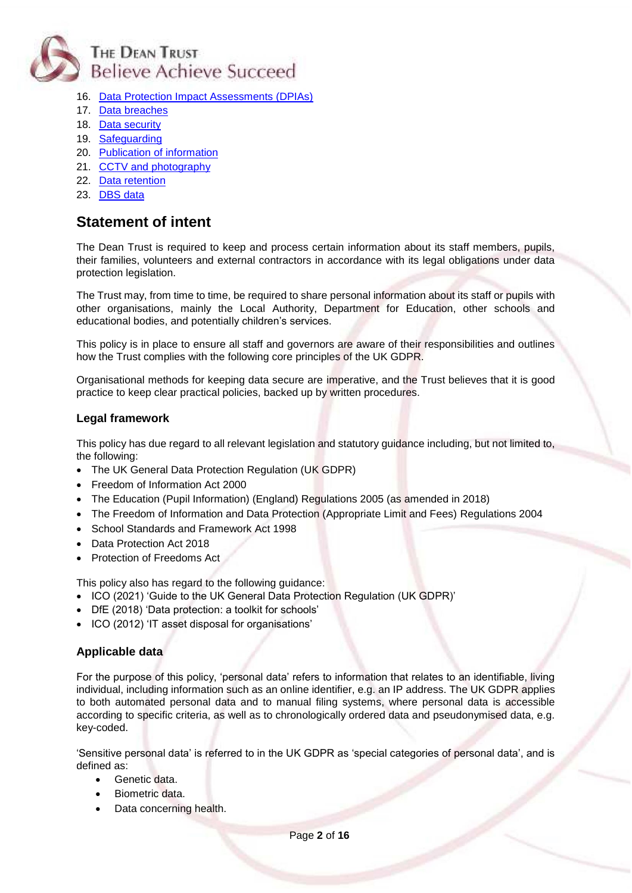

- 16. [Data Protection Impact Assessments \(DPIAs\)](#page-11-1)
- 17. [Data breaches](#page-12-0)
- 18. [Data security](#page-13-0)
- 19. [Safeguarding](#page-13-1)
- 20. [Publication of information](#page-14-0)
- 21. [CCTV and photography](#page-14-1)
- 22. [Data retention](#page-15-0)
- 23. [DBS data](#page-15-1)

# <span id="page-1-0"></span>**Statement of intent**

The Dean Trust is required to keep and process certain information about its staff members, pupils, their families, volunteers and external contractors in accordance with its legal obligations under data protection legislation.

The Trust may, from time to time, be required to share personal information about its staff or pupils with other organisations, mainly the Local Authority, Department for Education, other schools and educational bodies, and potentially children's services.

This policy is in place to ensure all staff and governors are aware of their responsibilities and outlines how the Trust complies with the following core principles of the UK GDPR.

Organisational methods for keeping data secure are imperative, and the Trust believes that it is good practice to keep clear practical policies, backed up by written procedures.

#### **Legal framework**

This policy has due regard to all relevant legislation and statutory guidance including, but not limited to, the following:

- The UK General Data Protection Regulation (UK GDPR)
- Freedom of Information Act 2000
- The Education (Pupil Information) (England) Regulations 2005 (as amended in 2018)
- The Freedom of Information and Data Protection (Appropriate Limit and Fees) Regulations 2004
- School Standards and Framework Act 1998
- Data Protection Act 2018
- Protection of Freedoms Act

This policy also has regard to the following guidance:

- ICO (2021) 'Guide to the UK General Data Protection Regulation (UK GDPR)'
- DfE (2018) 'Data protection: a toolkit for schools'
- ICO (2012) 'IT asset disposal for organisations'

# <span id="page-1-1"></span>**Applicable data**

For the purpose of this policy, 'personal data' refers to information that relates to an identifiable, living individual, including information such as an online identifier, e.g. an IP address. The UK GDPR applies to both automated personal data and to manual filing systems, where personal data is accessible according to specific criteria, as well as to chronologically ordered data and pseudonymised data, e.g. key-coded.

'Sensitive personal data' is referred to in the UK GDPR as 'special categories of personal data', and is defined as:

- Genetic data.
- Biometric data.
- Data concerning health.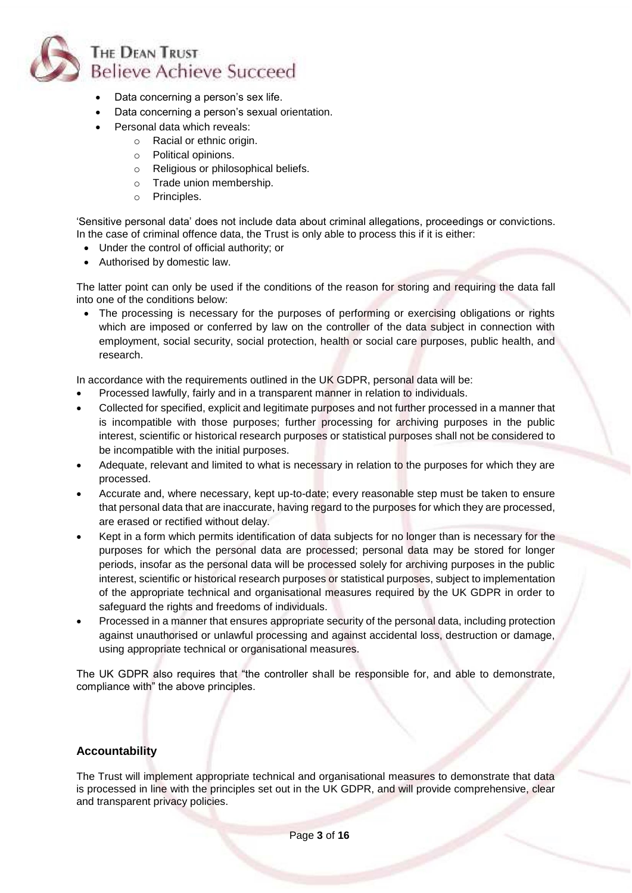

- Data concerning a person's sex life.
- Data concerning a person's sexual orientation.
- Personal data which reveals:
	- o Racial or ethnic origin.
	- o Political opinions.
	- o Religious or philosophical beliefs.
	- o Trade union membership.
	- o Principles.

'Sensitive personal data' does not include data about criminal allegations, proceedings or convictions. In the case of criminal offence data, the Trust is only able to process this if it is either:

- Under the control of official authority; or
- Authorised by domestic law.

The latter point can only be used if the conditions of the reason for storing and requiring the data fall into one of the conditions below:

• The processing is necessary for the purposes of performing or exercising obligations or rights which are imposed or conferred by law on the controller of the data subject in connection with employment, social security, social protection, health or social care purposes, public health, and research.

In accordance with the requirements outlined in the UK GDPR, personal data will be:

- Processed lawfully, fairly and in a transparent manner in relation to individuals.
- Collected for specified, explicit and legitimate purposes and not further processed in a manner that is incompatible with those purposes; further processing for archiving purposes in the public interest, scientific or historical research purposes or statistical purposes shall not be considered to be incompatible with the initial purposes.
- Adequate, relevant and limited to what is necessary in relation to the purposes for which they are processed.
- Accurate and, where necessary, kept up-to-date; every reasonable step must be taken to ensure that personal data that are inaccurate, having regard to the purposes for which they are processed, are erased or rectified without delay.
- Kept in a form which permits identification of data subjects for no longer than is necessary for the purposes for which the personal data are processed; personal data may be stored for longer periods, insofar as the personal data will be processed solely for archiving purposes in the public interest, scientific or historical research purposes or statistical purposes, subject to implementation of the appropriate technical and organisational measures required by the UK GDPR in order to safeguard the rights and freedoms of individuals.
- Processed in a manner that ensures appropriate security of the personal data, including protection against unauthorised or unlawful processing and against accidental loss, destruction or damage, using appropriate technical or organisational measures.

The UK GDPR also requires that "the controller shall be responsible for, and able to demonstrate, compliance with" the above principles.

# <span id="page-2-0"></span>**Accountability**

The Trust will implement appropriate technical and organisational measures to demonstrate that data is processed in line with the principles set out in the UK GDPR, and will provide comprehensive, clear and transparent privacy policies.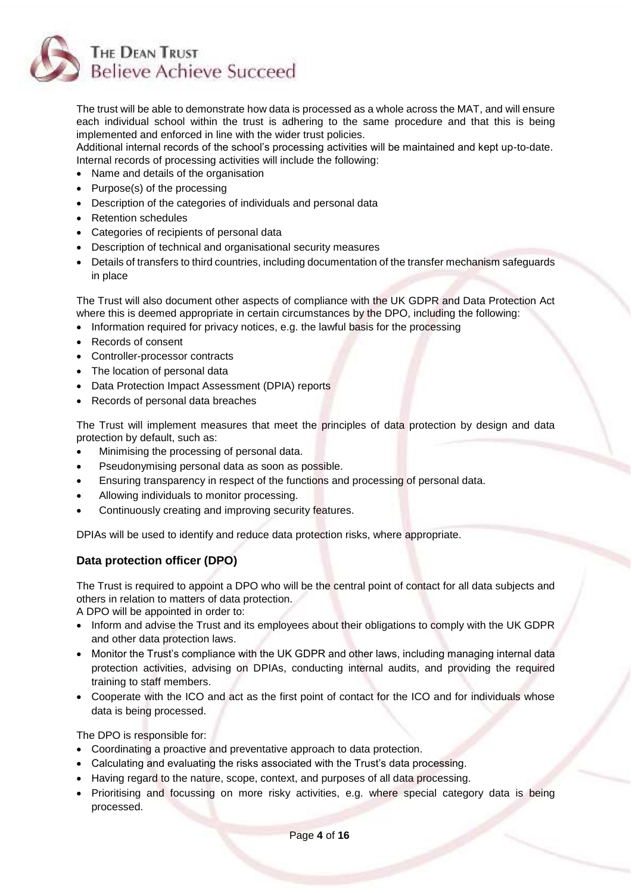

The trust will be able to demonstrate how data is processed as a whole across the MAT, and will ensure each individual school within the trust is adhering to the same procedure and that this is being implemented and enforced in line with the wider trust policies.

Additional internal records of the school's processing activities will be maintained and kept up-to-date. Internal records of processing activities will include the following:

- Name and details of the organisation
- Purpose(s) of the processing
- Description of the categories of individuals and personal data
- Retention schedules
- Categories of recipients of personal data
- Description of technical and organisational security measures
- Details of transfers to third countries, including documentation of the transfer mechanism safeguards in place

The Trust will also document other aspects of compliance with the UK GDPR and Data Protection Act where this is deemed appropriate in certain circumstances by the DPO, including the following:

- Information required for privacy notices, e.g. the lawful basis for the processing
- Records of consent
- Controller-processor contracts
- The location of personal data
- Data Protection Impact Assessment (DPIA) reports
- Records of personal data breaches

The Trust will implement measures that meet the principles of data protection by design and data protection by default, such as:

- Minimising the processing of personal data.
- Pseudonymising personal data as soon as possible.
- Ensuring transparency in respect of the functions and processing of personal data.
- Allowing individuals to monitor processing.
- Continuously creating and improving security features.

<span id="page-3-0"></span>DPIAs will be used to identify and reduce data protection risks, where appropriate.

# **Data protection officer (DPO)**

The Trust is required to appoint a DPO who will be the central point of contact for all data subjects and others in relation to matters of data protection.

A DPO will be appointed in order to:

- Inform and advise the Trust and its employees about their obligations to comply with the UK GDPR and other data protection laws.
- Monitor the Trust's compliance with the UK GDPR and other laws, including managing internal data protection activities, advising on DPIAs, conducting internal audits, and providing the required training to staff members.
- Cooperate with the ICO and act as the first point of contact for the ICO and for individuals whose data is being processed.

The DPO is responsible for:

- Coordinating a proactive and preventative approach to data protection.
- Calculating and evaluating the risks associated with the Trust's data processing.
- Having regard to the nature, scope, context, and purposes of all data processing.
- Prioritising and focussing on more risky activities, e.g. where special category data is being processed.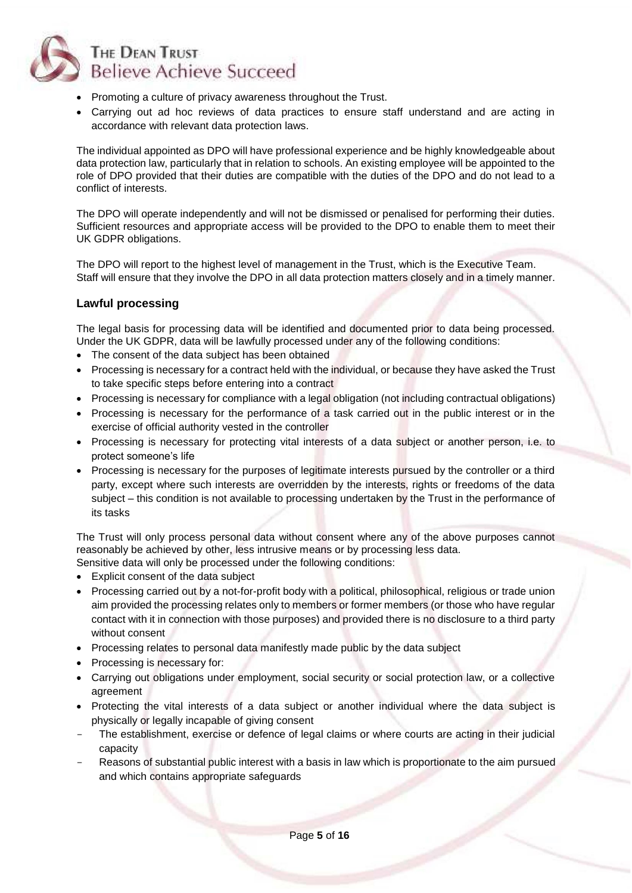

- Promoting a culture of privacy awareness throughout the Trust.
- Carrying out ad hoc reviews of data practices to ensure staff understand and are acting in accordance with relevant data protection laws.

The individual appointed as DPO will have professional experience and be highly knowledgeable about data protection law, particularly that in relation to schools. An existing employee will be appointed to the role of DPO provided that their duties are compatible with the duties of the DPO and do not lead to a conflict of interests.

The DPO will operate independently and will not be dismissed or penalised for performing their duties. Sufficient resources and appropriate access will be provided to the DPO to enable them to meet their UK GDPR obligations.

The DPO will report to the highest level of management in the Trust, which is the Executive Team. Staff will ensure that they involve the DPO in all data protection matters closely and in a timely manner.

#### <span id="page-4-0"></span>**Lawful processing**

The legal basis for processing data will be identified and documented prior to data being processed. Under the UK GDPR, data will be lawfully processed under any of the following conditions:

- The consent of the data subject has been obtained
- Processing is necessary for a contract held with the individual, or because they have asked the Trust to take specific steps before entering into a contract
- Processing is necessary for compliance with a legal obligation (not including contractual obligations)
- Processing is necessary for the performance of a task carried out in the public interest or in the exercise of official authority vested in the controller
- Processing is necessary for protecting vital interests of a data subject or another person, i.e. to protect someone's life
- Processing is necessary for the purposes of legitimate interests pursued by the controller or a third party, except where such interests are overridden by the interests, rights or freedoms of the data subject – this condition is not available to processing undertaken by the Trust in the performance of its tasks

The Trust will only process personal data without consent where any of the above purposes cannot reasonably be achieved by other, less intrusive means or by processing less data.

Sensitive data will only be processed under the following conditions:

- Explicit consent of the data subject
- Processing carried out by a not-for-profit body with a political, philosophical, religious or trade union aim provided the processing relates only to members or former members (or those who have regular contact with it in connection with those purposes) and provided there is no disclosure to a third party without consent
- Processing relates to personal data manifestly made public by the data subject
- Processing is necessary for:
- Carrying out obligations under employment, social security or social protection law, or a collective agreement
- Protecting the vital interests of a data subject or another individual where the data subject is physically or legally incapable of giving consent
- The establishment, exercise or defence of legal claims or where courts are acting in their judicial capacity
- Reasons of substantial public interest with a basis in law which is proportionate to the aim pursued and which contains appropriate safeguards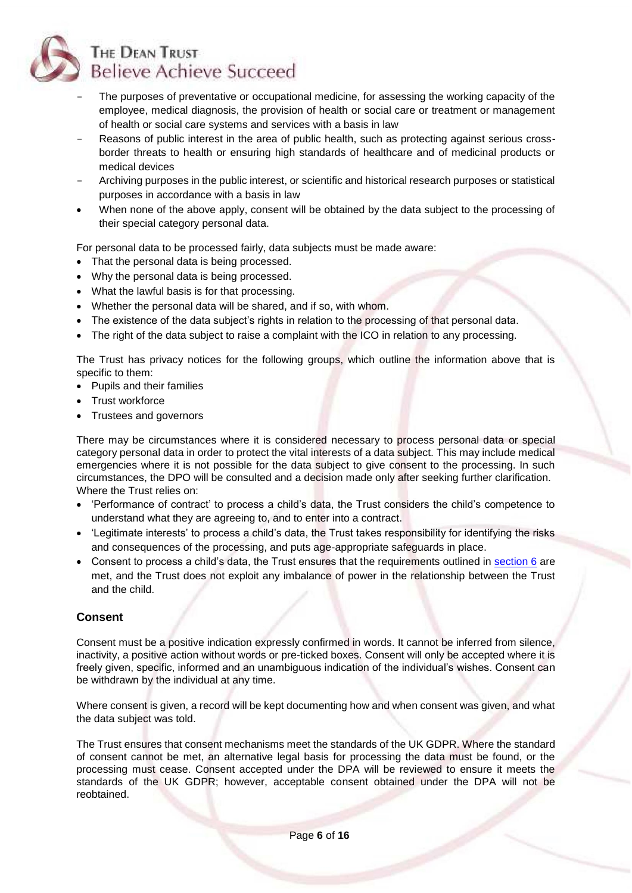

- The purposes of preventative or occupational medicine, for assessing the working capacity of the employee, medical diagnosis, the provision of health or social care or treatment or management of health or social care systems and services with a basis in law
- Reasons of public interest in the area of public health, such as protecting against serious crossborder threats to health or ensuring high standards of healthcare and of medicinal products or medical devices
- Archiving purposes in the public interest, or scientific and historical research purposes or statistical purposes in accordance with a basis in law
- When none of the above apply, consent will be obtained by the data subject to the processing of their special category personal data.

For personal data to be processed fairly, data subjects must be made aware:

- That the personal data is being processed.
- Why the personal data is being processed.
- What the lawful basis is for that processing.
- Whether the personal data will be shared, and if so, with whom.
- The existence of the data subject's rights in relation to the processing of that personal data.
- The right of the data subject to raise a complaint with the ICO in relation to any processing.

The Trust has privacy notices for the following groups, which outline the information above that is specific to them:

- Pupils and their families
- Trust workforce
- Trustees and governors

There may be circumstances where it is considered necessary to process personal data or special category personal data in order to protect the vital interests of a data subject. This may include medical emergencies where it is not possible for the data subject to give consent to the processing. In such circumstances, the DPO will be consulted and a decision made only after seeking further clarification. Where the Trust relies on:

- 'Performance of contract' to process a child's data, the Trust considers the child's competence to understand what they are agreeing to, and to enter into a contract.
- 'Legitimate interests' to process a child's data, the Trust takes responsibility for identifying the risks and consequences of the processing, and puts age-appropriate safeguards in place.
- Consent to process a child's data, the Trust ensures that the requirements outlined in [section 6](#page-5-0) are met, and the Trust does not exploit any imbalance of power in the relationship between the Trust and the child.

# <span id="page-5-0"></span>**Consent**

Consent must be a positive indication expressly confirmed in words. It cannot be inferred from silence, inactivity, a positive action without words or pre-ticked boxes. Consent will only be accepted where it is freely given, specific, informed and an unambiguous indication of the individual's wishes. Consent can be withdrawn by the individual at any time.

Where consent is given, a record will be kept documenting how and when consent was given, and what the data subject was told.

The Trust ensures that consent mechanisms meet the standards of the UK GDPR. Where the standard of consent cannot be met, an alternative legal basis for processing the data must be found, or the processing must cease. Consent accepted under the DPA will be reviewed to ensure it meets the standards of the UK GDPR; however, acceptable consent obtained under the DPA will not be reobtained.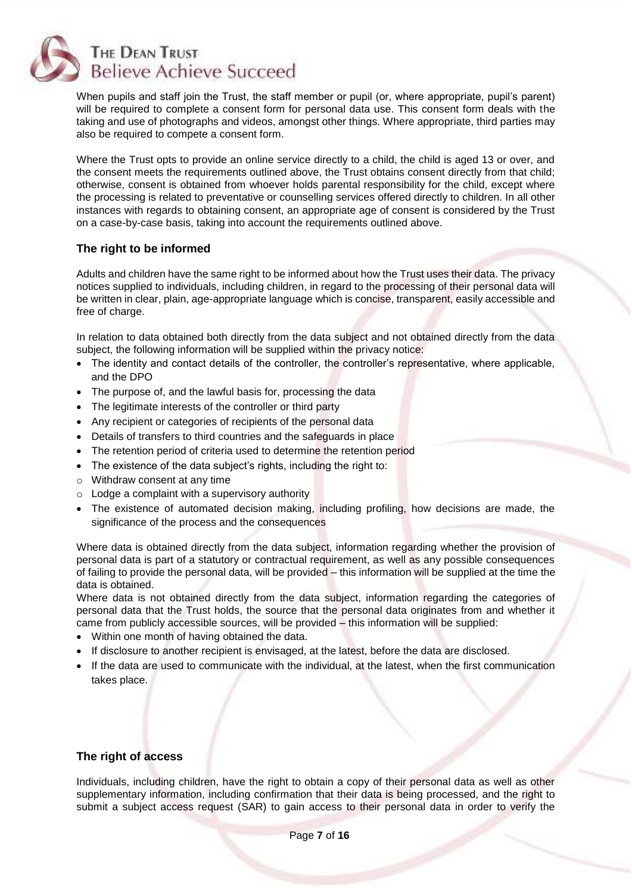

When pupils and staff join the Trust, the staff member or pupil (or, where appropriate, pupil's parent) will be required to complete a consent form for personal data use. This consent form deals with the taking and use of photographs and videos, amongst other things. Where appropriate, third parties may also be required to compete a consent form.

Where the Trust opts to provide an online service directly to a child, the child is aged 13 or over, and the consent meets the requirements outlined above, the Trust obtains consent directly from that child; otherwise, consent is obtained from whoever holds parental responsibility for the child, except where the processing is related to preventative or counselling services offered directly to children. In all other instances with regards to obtaining consent, an appropriate age of consent is considered by the Trust on a case-by-case basis, taking into account the requirements outlined above.

# <span id="page-6-0"></span>**The right to be informed**

Adults and children have the same right to be informed about how the Trust uses their data. The privacy notices supplied to individuals, including children, in regard to the processing of their personal data will be written in clear, plain, age-appropriate language which is concise, transparent, easily accessible and free of charge.

In relation to data obtained both directly from the data subject and not obtained directly from the data subject, the following information will be supplied within the privacy notice:

- The identity and contact details of the controller, the controller's representative, where applicable, and the DPO
- The purpose of, and the lawful basis for, processing the data
- The legitimate interests of the controller or third party
- Any recipient or categories of recipients of the personal data
- Details of transfers to third countries and the safeguards in place
- The retention period of criteria used to determine the retention period
- The existence of the data subject's rights, including the right to:
- o Withdraw consent at any time
- $\circ$  Lodge a complaint with a supervisory authority
- The existence of automated decision making, including profiling, how decisions are made, the significance of the process and the consequences

Where data is obtained directly from the data subject, information regarding whether the provision of personal data is part of a statutory or contractual requirement, as well as any possible consequences of failing to provide the personal data, will be provided – this information will be supplied at the time the data is obtained.

Where data is not obtained directly from the data subject, information regarding the categories of personal data that the Trust holds, the source that the personal data originates from and whether it came from publicly accessible sources, will be provided – this information will be supplied:

- Within one month of having obtained the data.
- If disclosure to another recipient is envisaged, at the latest, before the data are disclosed.
- If the data are used to communicate with the individual, at the latest, when the first communication takes place.

#### <span id="page-6-1"></span>**The right of access**

Individuals, including children, have the right to obtain a copy of their personal data as well as other supplementary information, including confirmation that their data is being processed, and the right to submit a subject access request (SAR) to gain access to their personal data in order to verify the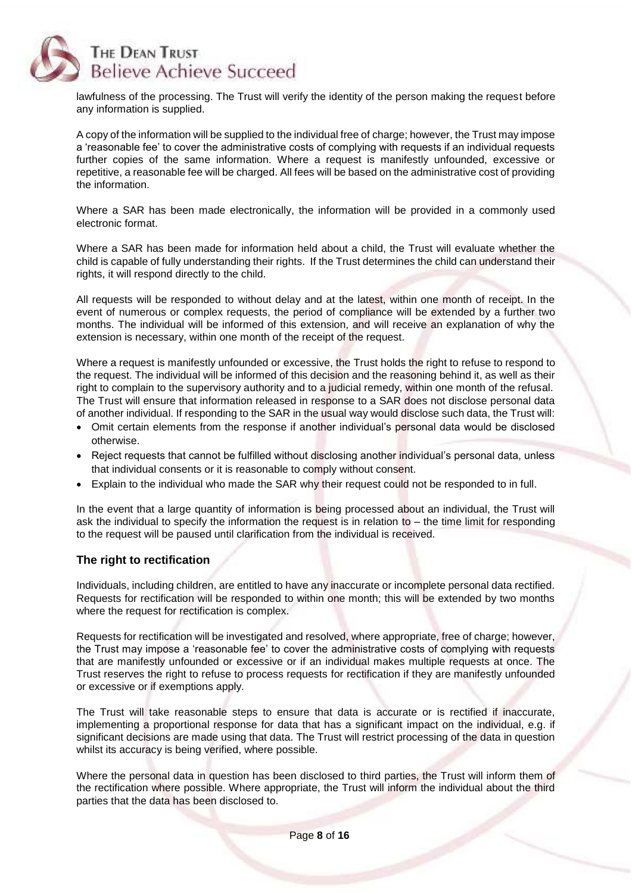

lawfulness of the processing. The Trust will verify the identity of the person making the request before any information is supplied.

A copy of the information will be supplied to the individual free of charge; however, the Trust may impose a 'reasonable fee' to cover the administrative costs of complying with requests if an individual requests further copies of the same information. Where a request is manifestly unfounded, excessive or repetitive, a reasonable fee will be charged. All fees will be based on the administrative cost of providing the information.

Where a SAR has been made electronically, the information will be provided in a commonly used electronic format.

Where a SAR has been made for information held about a child, the Trust will evaluate whether the child is capable of fully understanding their rights. If the Trust determines the child can understand their rights, it will respond directly to the child.

All requests will be responded to without delay and at the latest, within one month of receipt. In the event of numerous or complex requests, the period of compliance will be extended by a further two months. The individual will be informed of this extension, and will receive an explanation of why the extension is necessary, within one month of the receipt of the request.

Where a request is manifestly unfounded or excessive, the Trust holds the right to refuse to respond to the request. The individual will be informed of this decision and the reasoning behind it, as well as their right to complain to the supervisory authority and to a judicial remedy, within one month of the refusal. The Trust will ensure that information released in response to a SAR does not disclose personal data of another individual. If responding to the SAR in the usual way would disclose such data, the Trust will:

- Omit certain elements from the response if another individual's personal data would be disclosed otherwise.
- Reject requests that cannot be fulfilled without disclosing another individual's personal data, unless that individual consents or it is reasonable to comply without consent.
- Explain to the individual who made the SAR why their request could not be responded to in full.

In the event that a large quantity of information is being processed about an individual, the Trust will ask the individual to specify the information the request is in relation to – the time limit for responding to the request will be paused until clarification from the individual is received.

#### <span id="page-7-0"></span>**The right to rectification**

Individuals, including children, are entitled to have any inaccurate or incomplete personal data rectified. Requests for rectification will be responded to within one month; this will be extended by two months where the request for rectification is complex.

Requests for rectification will be investigated and resolved, where appropriate, free of charge; however, the Trust may impose a 'reasonable fee' to cover the administrative costs of complying with requests that are manifestly unfounded or excessive or if an individual makes multiple requests at once. The Trust reserves the right to refuse to process requests for rectification if they are manifestly unfounded or excessive or if exemptions apply.

The Trust will take reasonable steps to ensure that data is accurate or is rectified if inaccurate, implementing a proportional response for data that has a significant impact on the individual, e.g. if significant decisions are made using that data. The Trust will restrict processing of the data in question whilst its accuracy is being verified, where possible.

Where the personal data in question has been disclosed to third parties, the Trust will inform them of the rectification where possible. Where appropriate, the Trust will inform the individual about the third parties that the data has been disclosed to.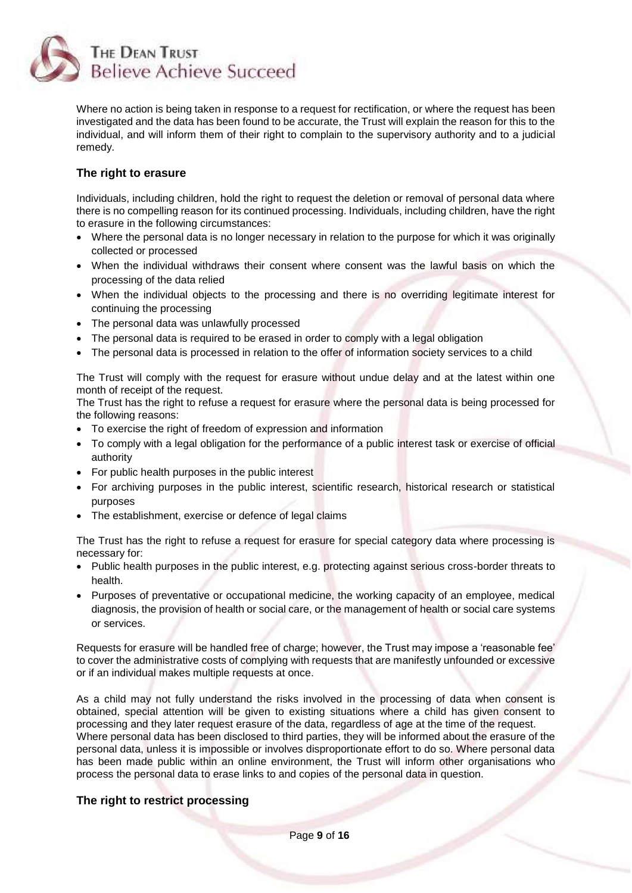

Where no action is being taken in response to a request for rectification, or where the request has been investigated and the data has been found to be accurate, the Trust will explain the reason for this to the individual, and will inform them of their right to complain to the supervisory authority and to a judicial remedy.

#### <span id="page-8-0"></span>**The right to erasure**

Individuals, including children, hold the right to request the deletion or removal of personal data where there is no compelling reason for its continued processing. Individuals, including children, have the right to erasure in the following circumstances:

- Where the personal data is no longer necessary in relation to the purpose for which it was originally collected or processed
- When the individual withdraws their consent where consent was the lawful basis on which the processing of the data relied
- When the individual objects to the processing and there is no overriding legitimate interest for continuing the processing
- The personal data was unlawfully processed
- The personal data is required to be erased in order to comply with a legal obligation
- The personal data is processed in relation to the offer of information society services to a child

The Trust will comply with the request for erasure without undue delay and at the latest within one month of receipt of the request.

The Trust has the right to refuse a request for erasure where the personal data is being processed for the following reasons:

- To exercise the right of freedom of expression and information
- To comply with a legal obligation for the performance of a public interest task or exercise of official authority
- For public health purposes in the public interest
- For archiving purposes in the public interest, scientific research, historical research or statistical purposes
- The establishment, exercise or defence of legal claims

The Trust has the right to refuse a request for erasure for special category data where processing is necessary for:

- Public health purposes in the public interest, e.g. protecting against serious cross-border threats to health.
- Purposes of preventative or occupational medicine, the working capacity of an employee, medical diagnosis, the provision of health or social care, or the management of health or social care systems or services.

Requests for erasure will be handled free of charge; however, the Trust may impose a 'reasonable fee' to cover the administrative costs of complying with requests that are manifestly unfounded or excessive or if an individual makes multiple requests at once.

As a child may not fully understand the risks involved in the processing of data when consent is obtained, special attention will be given to existing situations where a child has given consent to processing and they later request erasure of the data, regardless of age at the time of the request. Where personal data has been disclosed to third parties, they will be informed about the erasure of the personal data, unless it is impossible or involves disproportionate effort to do so. Where personal data has been made public within an online environment, the Trust will inform other organisations who process the personal data to erase links to and copies of the personal data in question.

#### <span id="page-8-1"></span>**The right to restrict processing**

Page **9** of **16**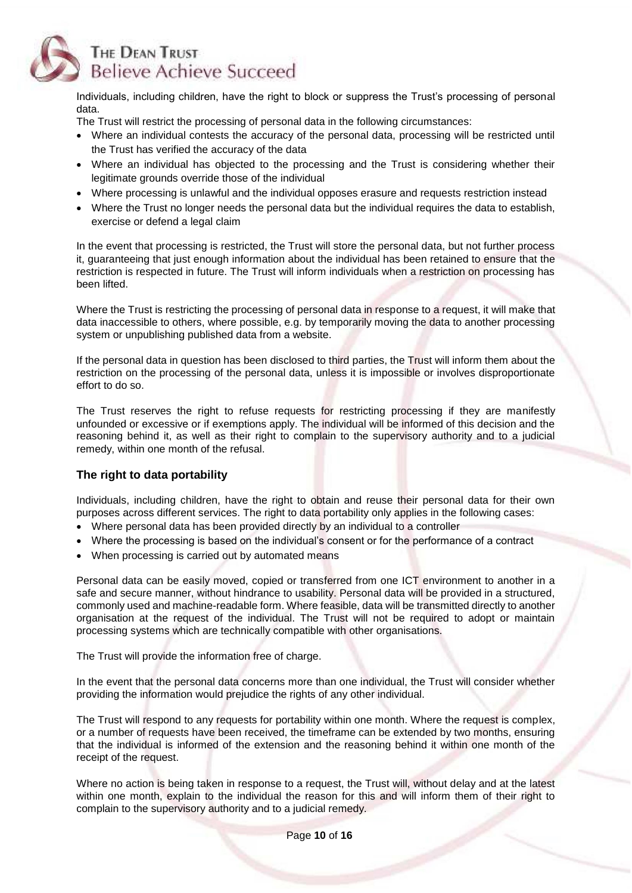

Individuals, including children, have the right to block or suppress the Trust's processing of personal data.

The Trust will restrict the processing of personal data in the following circumstances:

- Where an individual contests the accuracy of the personal data, processing will be restricted until the Trust has verified the accuracy of the data
- Where an individual has objected to the processing and the Trust is considering whether their legitimate grounds override those of the individual
- Where processing is unlawful and the individual opposes erasure and requests restriction instead
- Where the Trust no longer needs the personal data but the individual requires the data to establish, exercise or defend a legal claim

In the event that processing is restricted, the Trust will store the personal data, but not further process it, guaranteeing that just enough information about the individual has been retained to ensure that the restriction is respected in future. The Trust will inform individuals when a restriction on processing has been lifted.

Where the Trust is restricting the processing of personal data in response to a request, it will make that data inaccessible to others, where possible, e.g. by temporarily moving the data to another processing system or unpublishing published data from a website.

If the personal data in question has been disclosed to third parties, the Trust will inform them about the restriction on the processing of the personal data, unless it is impossible or involves disproportionate effort to do so.

The Trust reserves the right to refuse requests for restricting processing if they are manifestly unfounded or excessive or if exemptions apply. The individual will be informed of this decision and the reasoning behind it, as well as their right to complain to the supervisory authority and to a judicial remedy, within one month of the refusal.

# <span id="page-9-0"></span>**The right to data portability**

Individuals, including children, have the right to obtain and reuse their personal data for their own purposes across different services. The right to data portability only applies in the following cases:

- Where personal data has been provided directly by an individual to a controller
- Where the processing is based on the individual's consent or for the performance of a contract
- When processing is carried out by automated means

Personal data can be easily moved, copied or transferred from one ICT environment to another in a safe and secure manner, without hindrance to usability. Personal data will be provided in a structured, commonly used and machine-readable form. Where feasible, data will be transmitted directly to another organisation at the request of the individual. The Trust will not be required to adopt or maintain processing systems which are technically compatible with other organisations.

The Trust will provide the information free of charge.

In the event that the personal data concerns more than one individual, the Trust will consider whether providing the information would prejudice the rights of any other individual.

The Trust will respond to any requests for portability within one month. Where the request is complex, or a number of requests have been received, the timeframe can be extended by two months, ensuring that the individual is informed of the extension and the reasoning behind it within one month of the receipt of the request.

Where no action is being taken in response to a request, the Trust will, without delay and at the latest within one month, explain to the individual the reason for this and will inform them of their right to complain to the supervisory authority and to a judicial remedy.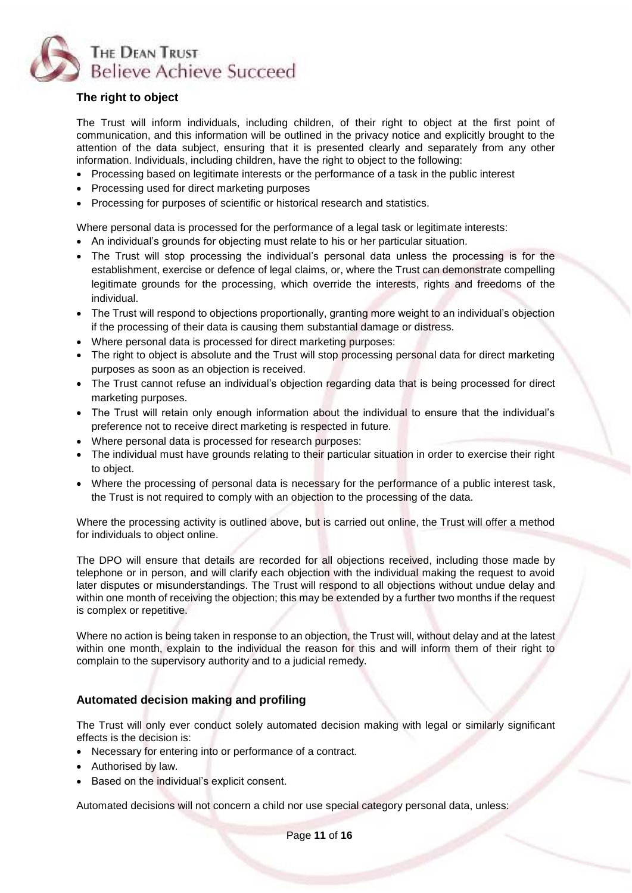

# <span id="page-10-0"></span>**The right to object**

The Trust will inform individuals, including children, of their right to object at the first point of communication, and this information will be outlined in the privacy notice and explicitly brought to the attention of the data subject, ensuring that it is presented clearly and separately from any other information. Individuals, including children, have the right to object to the following:

- Processing based on legitimate interests or the performance of a task in the public interest
- Processing used for direct marketing purposes
- Processing for purposes of scientific or historical research and statistics.

Where personal data is processed for the performance of a legal task or legitimate interests:

- An individual's grounds for objecting must relate to his or her particular situation.
- The Trust will stop processing the individual's personal data unless the processing is for the establishment, exercise or defence of legal claims, or, where the Trust can demonstrate compelling legitimate grounds for the processing, which override the interests, rights and freedoms of the individual.
- The Trust will respond to objections proportionally, granting more weight to an individual's objection if the processing of their data is causing them substantial damage or distress.
- Where personal data is processed for direct marketing purposes:
- The right to object is absolute and the Trust will stop processing personal data for direct marketing purposes as soon as an objection is received.
- The Trust cannot refuse an individual's objection regarding data that is being processed for direct marketing purposes.
- The Trust will retain only enough information about the individual to ensure that the individual's preference not to receive direct marketing is respected in future.
- Where personal data is processed for research purposes:
- The individual must have grounds relating to their particular situation in order to exercise their right to object.
- Where the processing of personal data is necessary for the performance of a public interest task, the Trust is not required to comply with an objection to the processing of the data.

Where the processing activity is outlined above, but is carried out online, the Trust will offer a method for individuals to object online.

The DPO will ensure that details are recorded for all objections received, including those made by telephone or in person, and will clarify each objection with the individual making the request to avoid later disputes or misunderstandings. The Trust will respond to all objections without undue delay and within one month of receiving the objection; this may be extended by a further two months if the request is complex or repetitive.

Where no action is being taken in response to an objection, the Trust will, without delay and at the latest within one month, explain to the individual the reason for this and will inform them of their right to complain to the supervisory authority and to a judicial remedy.

# <span id="page-10-1"></span>**Automated decision making and profiling**

The Trust will only ever conduct solely automated decision making with legal or similarly significant effects is the decision is:

- Necessary for entering into or performance of a contract.
- Authorised by law.
- Based on the individual's explicit consent.

Automated decisions will not concern a child nor use special category personal data, unless: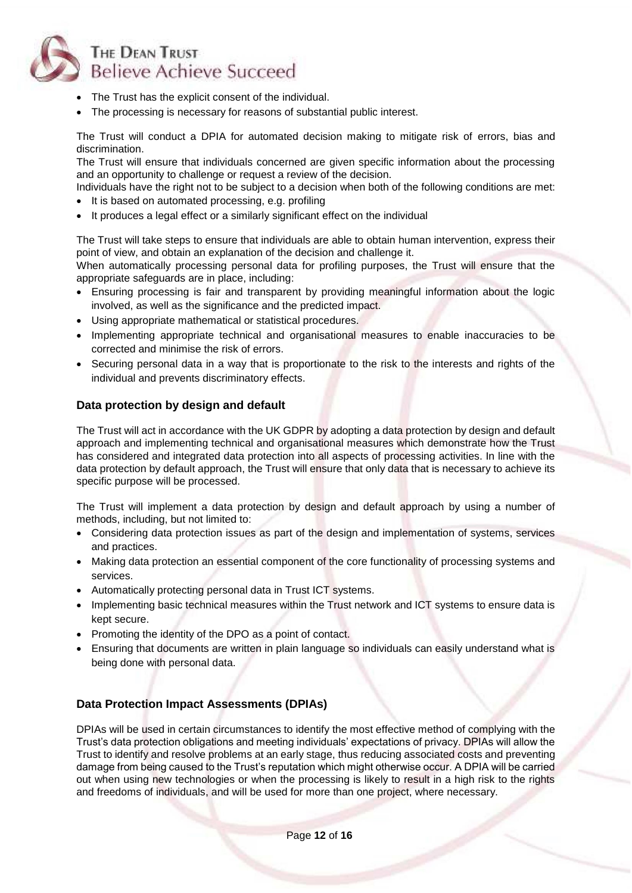

- The Trust has the explicit consent of the individual.
- The processing is necessary for reasons of substantial public interest.

The Trust will conduct a DPIA for automated decision making to mitigate risk of errors, bias and discrimination.

The Trust will ensure that individuals concerned are given specific information about the processing and an opportunity to challenge or request a review of the decision.

Individuals have the right not to be subject to a decision when both of the following conditions are met: • It is based on automated processing, e.g. profiling

• It produces a legal effect or a similarly significant effect on the individual

The Trust will take steps to ensure that individuals are able to obtain human intervention, express their point of view, and obtain an explanation of the decision and challenge it.

When automatically processing personal data for profiling purposes, the Trust will ensure that the appropriate safeguards are in place, including:

- Ensuring processing is fair and transparent by providing meaningful information about the logic involved, as well as the significance and the predicted impact.
- Using appropriate mathematical or statistical procedures.
- Implementing appropriate technical and organisational measures to enable inaccuracies to be corrected and minimise the risk of errors.
- Securing personal data in a way that is proportionate to the risk to the interests and rights of the individual and prevents discriminatory effects.

#### <span id="page-11-0"></span>**Data protection by design and default**

The Trust will act in accordance with the UK GDPR by adopting a data protection by design and default approach and implementing technical and organisational measures which demonstrate how the Trust has considered and integrated data protection into all aspects of processing activities. In line with the data protection by default approach, the Trust will ensure that only data that is necessary to achieve its specific purpose will be processed.

The Trust will implement a data protection by design and default approach by using a number of methods, including, but not limited to:

- Considering data protection issues as part of the design and implementation of systems, services and practices.
- Making data protection an essential component of the core functionality of processing systems and services.
- Automatically protecting personal data in Trust ICT systems.
- Implementing basic technical measures within the Trust network and ICT systems to ensure data is kept secure.
- Promoting the identity of the DPO as a point of contact.
- Ensuring that documents are written in plain language so individuals can easily understand what is being done with personal data.

# <span id="page-11-1"></span>**Data Protection Impact Assessments (DPIAs)**

DPIAs will be used in certain circumstances to identify the most effective method of complying with the Trust's data protection obligations and meeting individuals' expectations of privacy. DPIAs will allow the Trust to identify and resolve problems at an early stage, thus reducing associated costs and preventing damage from being caused to the Trust's reputation which might otherwise occur. A DPIA will be carried out when using new technologies or when the processing is likely to result in a high risk to the rights and freedoms of individuals, and will be used for more than one project, where necessary.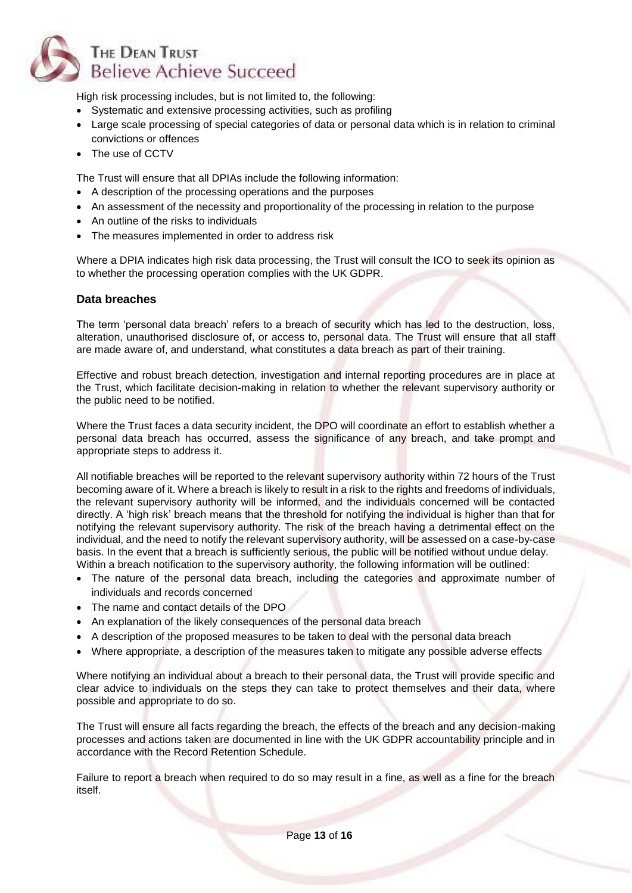

High risk processing includes, but is not limited to, the following:

- Systematic and extensive processing activities, such as profiling
- Large scale processing of special categories of data or personal data which is in relation to criminal convictions or offences
- The use of CCTV

The Trust will ensure that all DPIAs include the following information:

- A description of the processing operations and the purposes
- An assessment of the necessity and proportionality of the processing in relation to the purpose
- An outline of the risks to individuals
- The measures implemented in order to address risk

Where a DPIA indicates high risk data processing, the Trust will consult the ICO to seek its opinion as to whether the processing operation complies with the UK GDPR.

#### <span id="page-12-0"></span>**Data breaches**

The term 'personal data breach' refers to a breach of security which has led to the destruction, loss, alteration, unauthorised disclosure of, or access to, personal data. The Trust will ensure that all staff are made aware of, and understand, what constitutes a data breach as part of their training.

Effective and robust breach detection, investigation and internal reporting procedures are in place at the Trust, which facilitate decision-making in relation to whether the relevant supervisory authority or the public need to be notified.

Where the Trust faces a data security incident, the DPO will coordinate an effort to establish whether a personal data breach has occurred, assess the significance of any breach, and take prompt and appropriate steps to address it.

All notifiable breaches will be reported to the relevant supervisory authority within 72 hours of the Trust becoming aware of it. Where a breach is likely to result in a risk to the rights and freedoms of individuals, the relevant supervisory authority will be informed, and the individuals concerned will be contacted directly. A 'high risk' breach means that the threshold for notifying the individual is higher than that for notifying the relevant supervisory authority. The risk of the breach having a detrimental effect on the individual, and the need to notify the relevant supervisory authority, will be assessed on a case-by-case basis. In the event that a breach is sufficiently serious, the public will be notified without undue delay. Within a breach notification to the supervisory authority, the following information will be outlined:

- The nature of the personal data breach, including the categories and approximate number of individuals and records concerned
- The name and contact details of the DPO
- An explanation of the likely consequences of the personal data breach
- A description of the proposed measures to be taken to deal with the personal data breach
- Where appropriate, a description of the measures taken to mitigate any possible adverse effects

Where notifying an individual about a breach to their personal data, the Trust will provide specific and clear advice to individuals on the steps they can take to protect themselves and their data, where possible and appropriate to do so.

The Trust will ensure all facts regarding the breach, the effects of the breach and any decision-making processes and actions taken are documented in line with the UK GDPR accountability principle and in accordance with the Record Retention Schedule.

Failure to report a breach when required to do so may result in a fine, as well as a fine for the breach itself.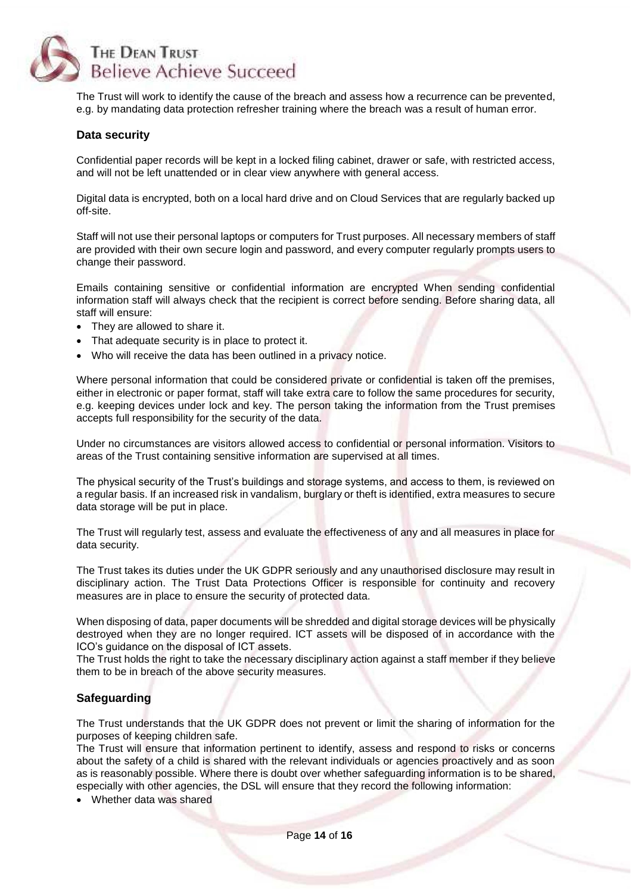

The Trust will work to identify the cause of the breach and assess how a recurrence can be prevented, e.g. by mandating data protection refresher training where the breach was a result of human error.

#### <span id="page-13-0"></span>**Data security**

Confidential paper records will be kept in a locked filing cabinet, drawer or safe, with restricted access, and will not be left unattended or in clear view anywhere with general access.

Digital data is encrypted, both on a local hard drive and on Cloud Services that are regularly backed up off-site.

Staff will not use their personal laptops or computers for Trust purposes. All necessary members of staff are provided with their own secure login and password, and every computer regularly prompts users to change their password.

Emails containing sensitive or confidential information are encrypted When sending confidential information staff will always check that the recipient is correct before sending. Before sharing data, all staff will ensure:

- They are allowed to share it.
- That adequate security is in place to protect it.
- Who will receive the data has been outlined in a privacy notice.

Where personal information that could be considered private or confidential is taken off the premises, either in electronic or paper format, staff will take extra care to follow the same procedures for security, e.g. keeping devices under lock and key. The person taking the information from the Trust premises accepts full responsibility for the security of the data.

Under no circumstances are visitors allowed access to confidential or personal information. Visitors to areas of the Trust containing sensitive information are supervised at all times.

The physical security of the Trust's buildings and storage systems, and access to them, is reviewed on a regular basis. If an increased risk in vandalism, burglary or theft is identified, extra measures to secure data storage will be put in place.

The Trust will regularly test, assess and evaluate the effectiveness of any and all measures in place for data security.

The Trust takes its duties under the UK GDPR seriously and any unauthorised disclosure may result in disciplinary action. The Trust Data Protections Officer is responsible for continuity and recovery measures are in place to ensure the security of protected data.

When disposing of data, paper documents will be shredded and digital storage devices will be physically destroyed when they are no longer required. ICT assets will be disposed of in accordance with the ICO's guidance on the disposal of ICT assets.

The Trust holds the right to take the necessary disciplinary action against a staff member if they believe them to be in breach of the above security measures.

#### <span id="page-13-1"></span>**Safeguarding**

The Trust understands that the UK GDPR does not prevent or limit the sharing of information for the purposes of keeping children safe.

The Trust will ensure that information pertinent to identify, assess and respond to risks or concerns about the safety of a child is shared with the relevant individuals or agencies proactively and as soon as is reasonably possible. Where there is doubt over whether safeguarding information is to be shared, especially with other agencies, the DSL will ensure that they record the following information:

• Whether data was shared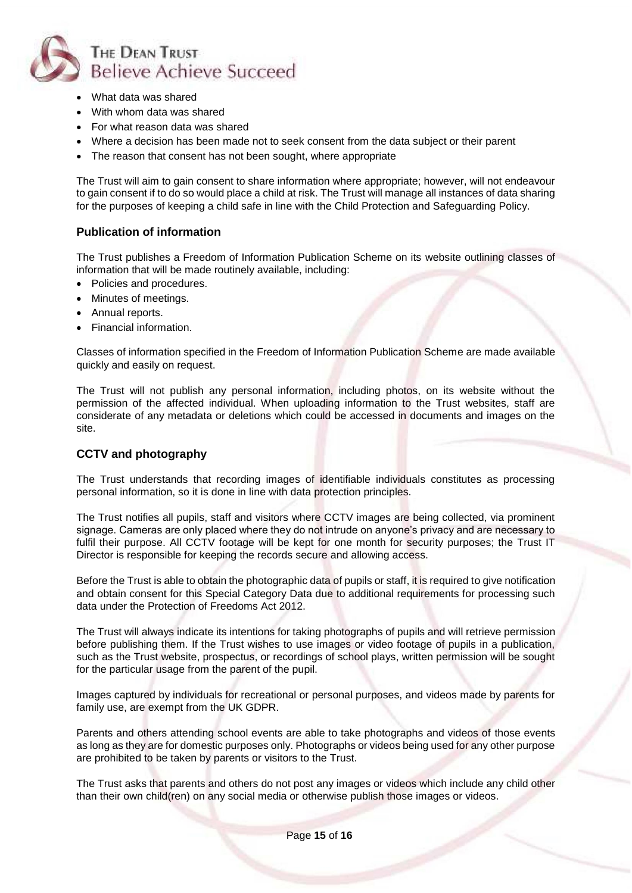

- What data was shared
- With whom data was shared
- For what reason data was shared
- Where a decision has been made not to seek consent from the data subject or their parent
- The reason that consent has not been sought, where appropriate

The Trust will aim to gain consent to share information where appropriate; however, will not endeavour to gain consent if to do so would place a child at risk. The Trust will manage all instances of data sharing for the purposes of keeping a child safe in line with the Child Protection and Safeguarding Policy.

#### <span id="page-14-0"></span>**Publication of information**

The Trust publishes a Freedom of Information Publication Scheme on its website outlining classes of information that will be made routinely available, including:

- Policies and procedures.
- Minutes of meetings.
- Annual reports.
- Financial information.

Classes of information specified in the Freedom of Information Publication Scheme are made available quickly and easily on request.

The Trust will not publish any personal information, including photos, on its website without the permission of the affected individual. When uploading information to the Trust websites, staff are considerate of any metadata or deletions which could be accessed in documents and images on the site.

# <span id="page-14-1"></span>**CCTV and photography**

The Trust understands that recording images of identifiable individuals constitutes as processing personal information, so it is done in line with data protection principles.

The Trust notifies all pupils, staff and visitors where CCTV images are being collected, via prominent signage. Cameras are only placed where they do not intrude on anyone's privacy and are necessary to fulfil their purpose. All CCTV footage will be kept for one month for security purposes; the Trust IT Director is responsible for keeping the records secure and allowing access.

Before the Trust is able to obtain the photographic data of pupils or staff, it is required to give notification and obtain consent for this Special Category Data due to additional requirements for processing such data under the Protection of Freedoms Act 2012.

The Trust will always indicate its intentions for taking photographs of pupils and will retrieve permission before publishing them. If the Trust wishes to use images or video footage of pupils in a publication, such as the Trust website, prospectus, or recordings of school plays, written permission will be sought for the particular usage from the parent of the pupil.

Images captured by individuals for recreational or personal purposes, and videos made by parents for family use, are exempt from the UK GDPR.

Parents and others attending school events are able to take photographs and videos of those events as long as they are for domestic purposes only. Photographs or videos being used for any other purpose are prohibited to be taken by parents or visitors to the Trust.

The Trust asks that parents and others do not post any images or videos which include any child other than their own child(ren) on any social media or otherwise publish those images or videos.